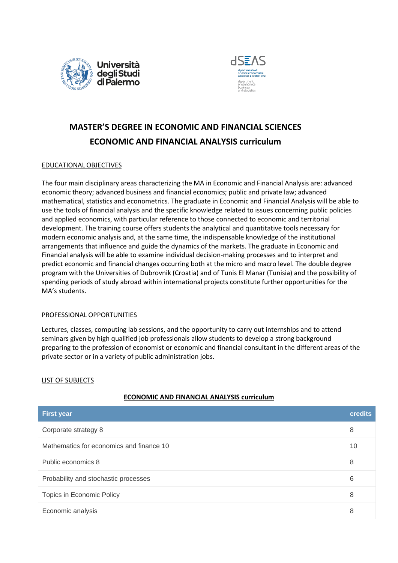



# **MASTER'S DEGREE IN ECONOMIC AND FINANCIAL SCIENCES ECONOMIC AND FINANCIAL ANALYSIS curriculum**

### EDUCATIONAL OBJECTIVES

The four main disciplinary areas characterizing the MA in Economic and Financial Analysis are: advanced economic theory; advanced business and financial economics; public and private law; advanced mathematical, statistics and econometrics. The graduate in Economic and Financial Analysis will be able to use the tools of financial analysis and the specific knowledge related to issues concerning public policies and applied economics, with particular reference to those connected to economic and territorial development. The training course offers students the analytical and quantitative tools necessary for modern economic analysis and, at the same time, the indispensable knowledge of the institutional arrangements that influence and guide the dynamics of the markets. The graduate in Economic and Financial analysis will be able to examine individual decision-making processes and to interpret and predict economic and financial changes occurring both at the micro and macro level. The double degree program with the Universities of Dubrovnik (Croatia) and of Tunis El Manar (Tunisia) and the possibility of spending periods of study abroad within international projects constitute further opportunities for the MA's students.

#### PROFESSIONAL OPPORTUNITIES

Lectures, classes, computing lab sessions, and the opportunity to carry out internships and to attend seminars given by high qualified job professionals allow students to develop a strong background preparing to the profession of economist or economic and financial consultant in the different areas of the private sector or in a variety of public administration jobs.

#### LIST OF SUBJECTS

## **ECONOMIC AND FINANCIAL ANALYSIS curriculum**

| <b>First year</b>                        | <b>credits</b> |
|------------------------------------------|----------------|
| Corporate strategy 8                     | 8              |
| Mathematics for economics and finance 10 | 10             |
| Public economics 8                       | 8              |
| Probability and stochastic processes     | 6              |
| Topics in Economic Policy                | 8              |
| Economic analysis                        | 8              |